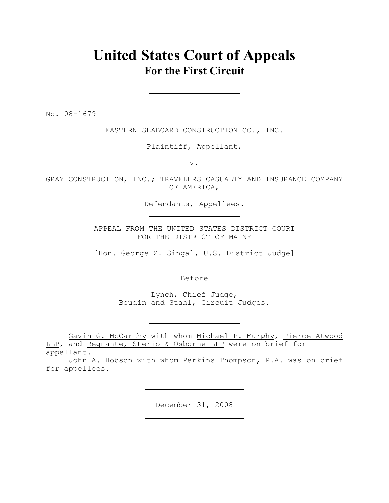## **United States Court of Appeals For the First Circuit**

No. 08-1679

EASTERN SEABOARD CONSTRUCTION CO., INC.

Plaintiff, Appellant,

v.

GRAY CONSTRUCTION, INC.; TRAVELERS CASUALTY AND INSURANCE COMPANY OF AMERICA,

Defendants, Appellees.

APPEAL FROM THE UNITED STATES DISTRICT COURT FOR THE DISTRICT OF MAINE

[Hon. George Z. Singal, U.S. District Judge]

Before

Lynch, Chief Judge, Boudin and Stahl, Circuit Judges.

Gavin G. McCarthy with whom Michael P. Murphy, Pierce Atwood LLP, and Regnante, Sterio & Osborne LLP were on brief for appellant.

John A. Hobson with whom Perkins Thompson, P.A. was on brief for appellees.

December 31, 2008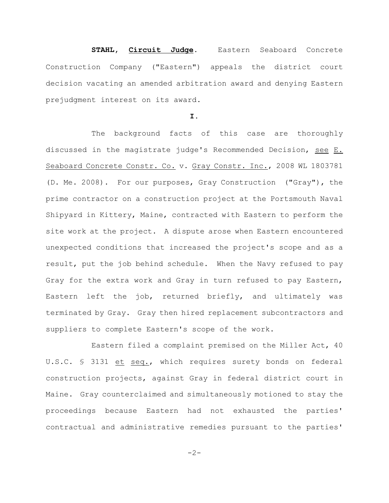**STAHL, Circuit Judge**. Eastern Seaboard Concrete Construction Company ("Eastern") appeals the district court decision vacating an amended arbitration award and denying Eastern prejudgment interest on its award.

## **I.**

The background facts of this case are thoroughly discussed in the magistrate judge's Recommended Decision, see E. Seaboard Concrete Constr. Co. v. Gray Constr. Inc., 2008 WL 1803781 (D. Me. 2008). For our purposes, Gray Construction ("Gray"), the prime contractor on a construction project at the Portsmouth Naval Shipyard in Kittery, Maine, contracted with Eastern to perform the site work at the project. A dispute arose when Eastern encountered unexpected conditions that increased the project's scope and as a result, put the job behind schedule. When the Navy refused to pay Gray for the extra work and Gray in turn refused to pay Eastern, Eastern left the job, returned briefly, and ultimately was terminated by Gray. Gray then hired replacement subcontractors and suppliers to complete Eastern's scope of the work.

Eastern filed a complaint premised on the Miller Act, 40 U.S.C. § 3131 et seq., which requires surety bonds on federal construction projects, against Gray in federal district court in Maine. Gray counterclaimed and simultaneously motioned to stay the proceedings because Eastern had not exhausted the parties' contractual and administrative remedies pursuant to the parties'

 $-2-$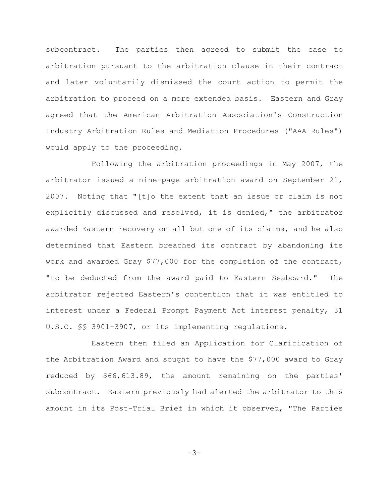subcontract. The parties then agreed to submit the case to arbitration pursuant to the arbitration clause in their contract and later voluntarily dismissed the court action to permit the arbitration to proceed on a more extended basis. Eastern and Gray agreed that the American Arbitration Association's Construction Industry Arbitration Rules and Mediation Procedures ("AAA Rules") would apply to the proceeding.

Following the arbitration proceedings in May 2007, the arbitrator issued a nine-page arbitration award on September 21, 2007. Noting that "[t]o the extent that an issue or claim is not explicitly discussed and resolved, it is denied," the arbitrator awarded Eastern recovery on all but one of its claims, and he also determined that Eastern breached its contract by abandoning its work and awarded Gray \$77,000 for the completion of the contract, "to be deducted from the award paid to Eastern Seaboard." The arbitrator rejected Eastern's contention that it was entitled to interest under a Federal Prompt Payment Act interest penalty, 31 U.S.C. §§ 3901-3907, or its implementing regulations.

Eastern then filed an Application for Clarification of the Arbitration Award and sought to have the \$77,000 award to Gray reduced by \$66,613.89, the amount remaining on the parties' subcontract. Eastern previously had alerted the arbitrator to this amount in its Post-Trial Brief in which it observed, "The Parties

 $-3-$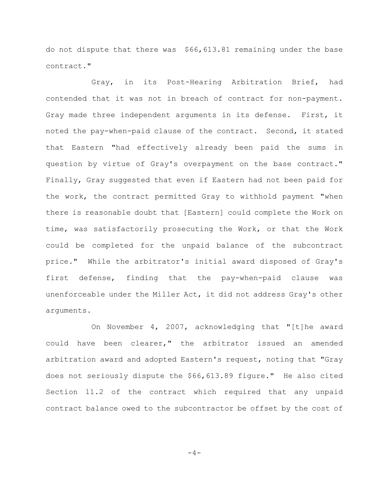do not dispute that there was \$66,613.81 remaining under the base contract."

Gray, in its Post-Hearing Arbitration Brief, had contended that it was not in breach of contract for non-payment. Gray made three independent arguments in its defense. First, it noted the pay-when-paid clause of the contract. Second, it stated that Eastern "had effectively already been paid the sums in question by virtue of Gray's overpayment on the base contract." Finally, Gray suggested that even if Eastern had not been paid for the work, the contract permitted Gray to withhold payment "when there is reasonable doubt that [Eastern] could complete the Work on time, was satisfactorily prosecuting the Work, or that the Work could be completed for the unpaid balance of the subcontract price." While the arbitrator's initial award disposed of Gray's first defense, finding that the pay-when-paid clause was unenforceable under the Miller Act, it did not address Gray's other arguments.

On November 4, 2007, acknowledging that "[t]he award could have been clearer," the arbitrator issued an amended arbitration award and adopted Eastern's request, noting that "Gray does not seriously dispute the \$66,613.89 figure." He also cited Section 11.2 of the contract which required that any unpaid contract balance owed to the subcontractor be offset by the cost of

 $-4-$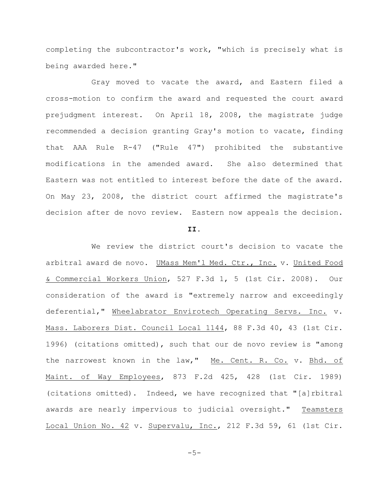completing the subcontractor's work, "which is precisely what is being awarded here."

Gray moved to vacate the award, and Eastern filed a cross-motion to confirm the award and requested the court award prejudgment interest. On April 18, 2008, the magistrate judge recommended a decision granting Gray's motion to vacate, finding that AAA Rule R-47 ("Rule 47") prohibited the substantive modifications in the amended award. She also determined that Eastern was not entitled to interest before the date of the award. On May 23, 2008, the district court affirmed the magistrate's decision after de novo review. Eastern now appeals the decision.

## **II.**

We review the district court's decision to vacate the arbitral award de novo. UMass Mem'l Med. Ctr., Inc. v. United Food & Commercial Workers Union, 527 F.3d 1, 5 (1st Cir. 2008). Our consideration of the award is "extremely narrow and exceedingly deferential," Wheelabrator Envirotech Operating Servs. Inc. v. Mass. Laborers Dist. Council Local 1144, 88 F.3d 40, 43 (1st Cir. 1996) (citations omitted), such that our de novo review is "among the narrowest known in the law," Me. Cent. R. Co. v. Bhd. of Maint. of Way Employees, 873 F.2d 425, 428 (1st Cir. 1989) (citations omitted). Indeed, we have recognized that "[a]rbitral awards are nearly impervious to judicial oversight." Teamsters Local Union No. 42 v. Supervalu, Inc., 212 F.3d 59, 61 (1st Cir.

 $-5-$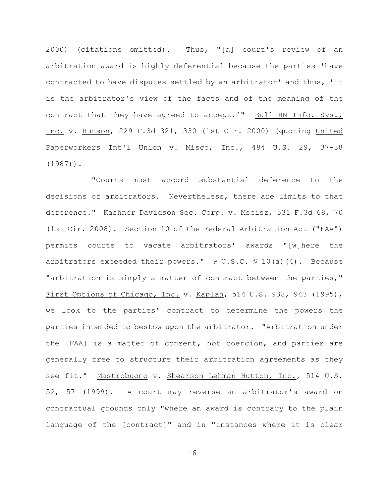2000) (citations omitted). Thus, "[a] court's review of an arbitration award is highly deferential because the parties 'have contracted to have disputes settled by an arbitrator' and thus, 'it is the arbitrator's view of the facts and of the meaning of the contract that they have agreed to accept.'" Bull HN Info. Sys., Inc. v. Hutson, 229 F.3d 321, 330 (1st Cir. 2000) (quoting United Paperworkers Int'l Union v. Misco, Inc., 484 U.S. 29, 37-38 (1987)).

"Courts must accord substantial deference to the decisions of arbitrators. Nevertheless, there are limits to that deference." Kashner Davidson Sec. Corp. v. Mscisz, 531 F.3d 68, 70 (1st Cir. 2008). Section 10 of the Federal Arbitration Act ("FAA") permits courts to vacate arbitrators' awards "[w]here the arbitrators exceeded their powers." 9 U.S.C. § 10(a)(4). Because "arbitration is simply a matter of contract between the parties," First Options of Chicago, Inc. v. Kaplan, 514 U.S. 938, 943 (1995), we look to the parties' contract to determine the powers the parties intended to bestow upon the arbitrator. "Arbitration under the [FAA] is a matter of consent, not coercion, and parties are generally free to structure their arbitration agreements as they see fit." Mastrobuono v. Shearson Lehman Hutton, Inc., 514 U.S. 52, 57 (1999). A court may reverse an arbitrator's award on contractual grounds only "where an award is contrary to the plain language of the [contract]" and in "instances where it is clear

 $-6-$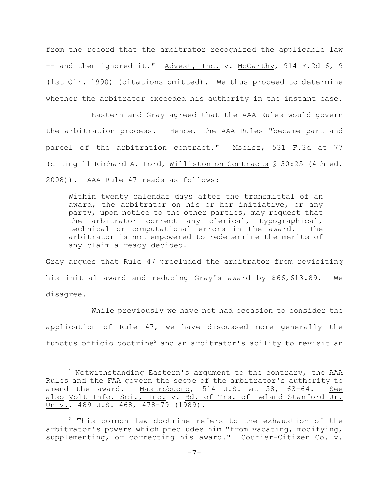from the record that the arbitrator recognized the applicable law -- and then ignored it." Advest, Inc. v. McCarthy, 914 F.2d 6, 9 (1st Cir. 1990) (citations omitted). We thus proceed to determine whether the arbitrator exceeded his authority in the instant case.

Eastern and Gray agreed that the AAA Rules would govern the arbitration process.<sup>1</sup> Hence, the AAA Rules "became part and parcel of the arbitration contract." Mscisz, 531 F.3d at 77 (citing 11 Richard A. Lord, Williston on Contracts § 30:25 (4th ed. 2008)). AAA Rule 47 reads as follows:

Within twenty calendar days after the transmittal of an award, the arbitrator on his or her initiative, or any party, upon notice to the other parties, may request that the arbitrator correct any clerical, typographical, technical or computational errors in the award. The arbitrator is not empowered to redetermine the merits of any claim already decided.

Gray argues that Rule 47 precluded the arbitrator from revisiting his initial award and reducing Gray's award by \$66,613.89. We disagree.

While previously we have not had occasion to consider the application of Rule 47, we have discussed more generally the functus officio doctrine<sup>2</sup> and an arbitrator's ability to revisit an

 $1$  Notwithstanding Eastern's argument to the contrary, the AAA Rules and the FAA govern the scope of the arbitrator's authority to amend the award. Mastrobuono, 514 U.S. at 58, 63-64. See also Volt Info. Sci., Inc. v. Bd. of Trs. of Leland Stanford Jr. Univ., 489 U.S. 468, 478-79 (1989).

 $2$  This common law doctrine refers to the exhaustion of the arbitrator's powers which precludes him "from vacating, modifying, supplementing, or correcting his award." Courier-Citizen Co. v.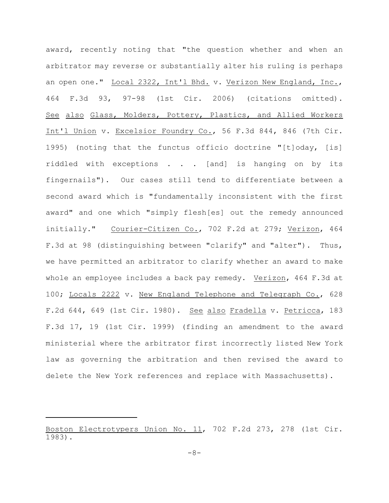award, recently noting that "the question whether and when an arbitrator may reverse or substantially alter his ruling is perhaps an open one." Local 2322, Int'l Bhd. v. Verizon New England, Inc., 464 F.3d 93, 97-98 (1st Cir. 2006) (citations omitted). See also Glass, Molders, Pottery, Plastics, and Allied Workers Int'l Union v. Excelsior Foundry Co., 56 F.3d 844, 846 (7th Cir. 1995) (noting that the functus officio doctrine "[t]oday, [is] riddled with exceptions . . . [and] is hanging on by its fingernails"). Our cases still tend to differentiate between a second award which is "fundamentally inconsistent with the first award" and one which "simply flesh[es] out the remedy announced initially." Courier-Citizen Co., 702 F.2d at 279; Verizon, 464 F.3d at 98 (distinguishing between "clarify" and "alter"). Thus, we have permitted an arbitrator to clarify whether an award to make whole an employee includes a back pay remedy. Verizon, 464 F.3d at 100; Locals 2222 v. New England Telephone and Telegraph Co., 628 F.2d 644, 649 (1st Cir. 1980). See also Fradella v. Petricca, 183 F.3d 17, 19 (1st Cir. 1999) (finding an amendment to the award ministerial where the arbitrator first incorrectly listed New York law as governing the arbitration and then revised the award to delete the New York references and replace with Massachusetts).

Boston Electrotypers Union No. 11, 702 F.2d 273, 278 (1st Cir. 1983).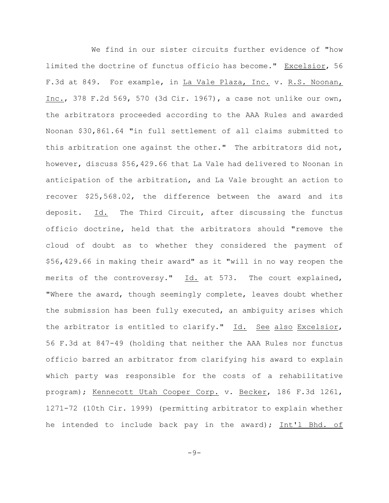We find in our sister circuits further evidence of "how limited the doctrine of functus officio has become." Excelsior, 56 F.3d at 849. For example, in La Vale Plaza, Inc. v. R.S. Noonan, Inc., 378 F.2d 569, 570 (3d Cir. 1967), a case not unlike our own, the arbitrators proceeded according to the AAA Rules and awarded Noonan \$30,861.64 "in full settlement of all claims submitted to this arbitration one against the other." The arbitrators did not, however, discuss \$56,429.66 that La Vale had delivered to Noonan in anticipation of the arbitration, and La Vale brought an action to recover \$25,568.02, the difference between the award and its deposit. Id. The Third Circuit, after discussing the functus officio doctrine, held that the arbitrators should "remove the cloud of doubt as to whether they considered the payment of \$56,429.66 in making their award" as it "will in no way reopen the merits of the controversy." Id. at 573. The court explained, "Where the award, though seemingly complete, leaves doubt whether the submission has been fully executed, an ambiguity arises which the arbitrator is entitled to clarify." Id. See also Excelsior, 56 F.3d at 847-49 (holding that neither the AAA Rules nor functus officio barred an arbitrator from clarifying his award to explain which party was responsible for the costs of a rehabilitative program); Kennecott Utah Cooper Corp. v. Becker, 186 F.3d 1261, 1271-72 (10th Cir. 1999) (permitting arbitrator to explain whether he intended to include back pay in the award); Int'l Bhd. of

 $-9-$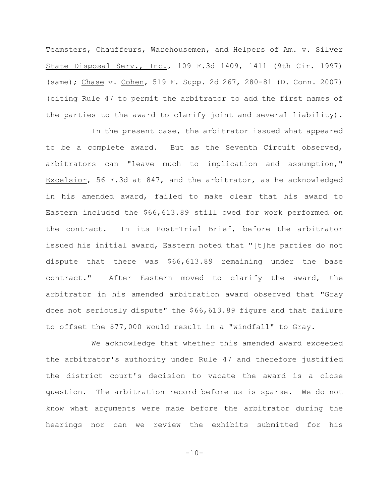Teamsters, Chauffeurs, Warehousemen, and Helpers of Am. v. Silver State Disposal Serv., Inc., 109 F.3d 1409, 1411 (9th Cir. 1997) (same); Chase v. Cohen, 519 F. Supp. 2d 267, 280-81 (D. Conn. 2007) (citing Rule 47 to permit the arbitrator to add the first names of the parties to the award to clarify joint and several liability).

In the present case, the arbitrator issued what appeared to be a complete award. But as the Seventh Circuit observed, arbitrators can "leave much to implication and assumption," Excelsior, 56 F.3d at 847, and the arbitrator, as he acknowledged in his amended award, failed to make clear that his award to Eastern included the \$66,613.89 still owed for work performed on the contract. In its Post-Trial Brief, before the arbitrator issued his initial award, Eastern noted that "[t]he parties do not dispute that there was \$66,613.89 remaining under the base contract." After Eastern moved to clarify the award, the arbitrator in his amended arbitration award observed that "Gray does not seriously dispute" the \$66,613.89 figure and that failure to offset the \$77,000 would result in a "windfall" to Gray.

We acknowledge that whether this amended award exceeded the arbitrator's authority under Rule 47 and therefore justified the district court's decision to vacate the award is a close question. The arbitration record before us is sparse. We do not know what arguments were made before the arbitrator during the hearings nor can we review the exhibits submitted for his

 $-10-$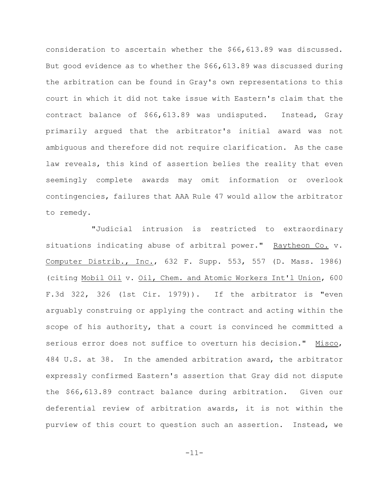consideration to ascertain whether the \$66,613.89 was discussed. But good evidence as to whether the \$66,613.89 was discussed during the arbitration can be found in Gray's own representations to this court in which it did not take issue with Eastern's claim that the contract balance of \$66,613.89 was undisputed. Instead, Gray primarily argued that the arbitrator's initial award was not ambiguous and therefore did not require clarification. As the case law reveals, this kind of assertion belies the reality that even seemingly complete awards may omit information or overlook contingencies, failures that AAA Rule 47 would allow the arbitrator to remedy.

"Judicial intrusion is restricted to extraordinary situations indicating abuse of arbitral power." Raytheon Co. v. Computer Distrib., Inc., 632 F. Supp. 553, 557 (D. Mass. 1986) (citing Mobil Oil v. Oil, Chem. and Atomic Workers Int'l Union, 600 F.3d 322, 326 (1st Cir. 1979)). If the arbitrator is "even arguably construing or applying the contract and acting within the scope of his authority, that a court is convinced he committed a serious error does not suffice to overturn his decision." Misco, 484 U.S. at 38. In the amended arbitration award, the arbitrator expressly confirmed Eastern's assertion that Gray did not dispute the \$66,613.89 contract balance during arbitration. Given our deferential review of arbitration awards, it is not within the purview of this court to question such an assertion. Instead, we

-11-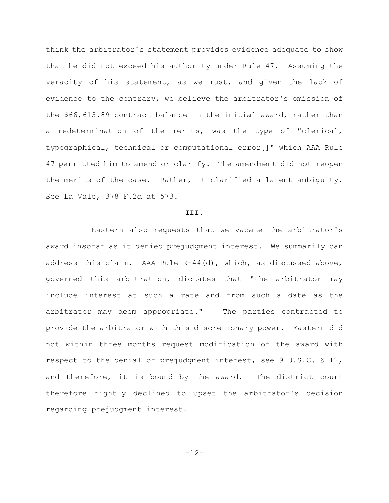think the arbitrator's statement provides evidence adequate to show that he did not exceed his authority under Rule 47. Assuming the veracity of his statement, as we must, and given the lack of evidence to the contrary, we believe the arbitrator's omission of the \$66,613.89 contract balance in the initial award, rather than a redetermination of the merits, was the type of "clerical, typographical, technical or computational error[]" which AAA Rule 47 permitted him to amend or clarify. The amendment did not reopen the merits of the case. Rather, it clarified a latent ambiguity. See La Vale, 378 F.2d at 573.

## **III.**

Eastern also requests that we vacate the arbitrator's award insofar as it denied prejudgment interest. We summarily can address this claim. AAA Rule R-44(d), which, as discussed above, governed this arbitration, dictates that "the arbitrator may include interest at such a rate and from such a date as the arbitrator may deem appropriate." The parties contracted to provide the arbitrator with this discretionary power. Eastern did not within three months request modification of the award with respect to the denial of prejudgment interest, see 9 U.S.C. § 12, and therefore, it is bound by the award. The district court therefore rightly declined to upset the arbitrator's decision regarding prejudgment interest.

-12-